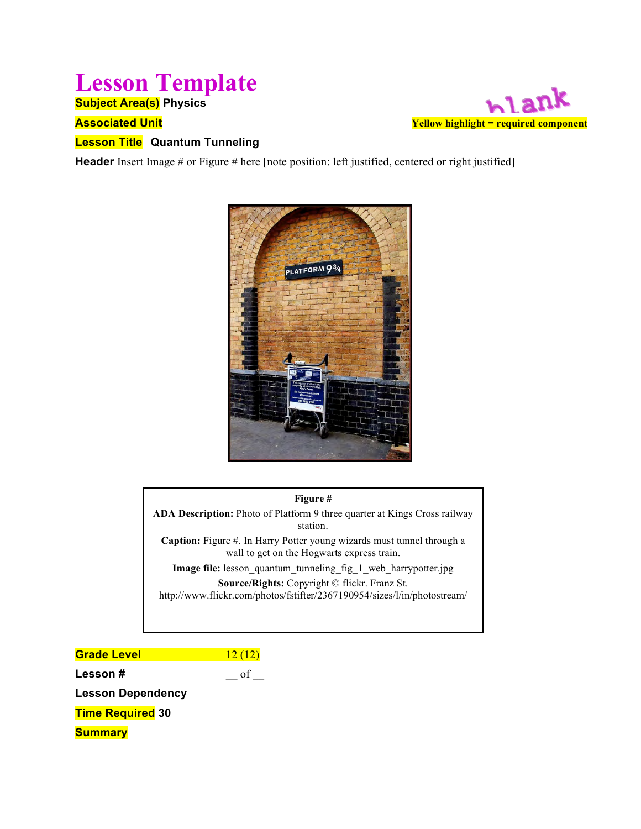## **Lesson Template**

**Subject Area(s) Physics**

#### **Associated Unit**



#### **Lesson Title Quantum Tunneling**

**Header** Insert Image # or Figure # here [note position: left justified, centered or right justified]



#### **Figure #**

**ADA Description:** Photo of Platform 9 three quarter at Kings Cross railway station. **Caption:** Figure #. In Harry Potter young wizards must tunnel through a wall to get on the Hogwarts express train.

**Image file:** lesson\_quantum\_tunneling\_fig\_1\_web\_harrypotter.jpg **Source/Rights:** Copyright © flickr. Franz St. http://www.flickr.com/photos/fstifter/2367190954/sizes/l/in/photostream/

**Grade Level** 12 (12) **Lesson #**  $\qquad \qquad \qquad$  of  $\qquad \qquad$ **Lesson Dependency Time Required 30 Summary**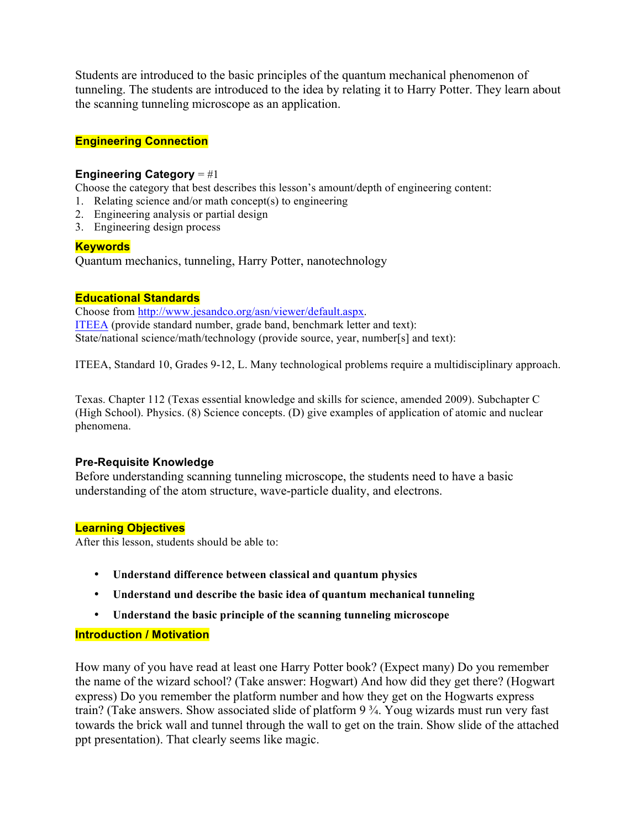Students are introduced to the basic principles of the quantum mechanical phenomenon of tunneling. The students are introduced to the idea by relating it to Harry Potter. They learn about the scanning tunneling microscope as an application.

#### **Engineering Connection**

#### **Engineering Category** = #1

Choose the category that best describes this lesson's amount/depth of engineering content:

- 1. Relating science and/or math concept(s) to engineering
- 2. Engineering analysis or partial design
- 3. Engineering design process

#### **Keywords**

Quantum mechanics, tunneling, Harry Potter, nanotechnology

#### **Educational Standards**

Choose from http://www.jesandco.org/asn/viewer/default.aspx. ITEEA (provide standard number, grade band, benchmark letter and text): State/national science/math/technology (provide source, year, number[s] and text):

ITEEA, Standard 10, Grades 9-12, L. Many technological problems require a multidisciplinary approach.

Texas. Chapter 112 (Texas essential knowledge and skills for science, amended 2009). Subchapter C (High School). Physics. (8) Science concepts. (D) give examples of application of atomic and nuclear phenomena.

#### **Pre-Requisite Knowledge**

Before understanding scanning tunneling microscope, the students need to have a basic understanding of the atom structure, wave-particle duality, and electrons.

#### **Learning Objectives**

After this lesson, students should be able to:

- **Understand difference between classical and quantum physics**
- **Understand und describe the basic idea of quantum mechanical tunneling**
- **Understand the basic principle of the scanning tunneling microscope**

#### **Introduction / Motivation**

How many of you have read at least one Harry Potter book? (Expect many) Do you remember the name of the wizard school? (Take answer: Hogwart) And how did they get there? (Hogwart express) Do you remember the platform number and how they get on the Hogwarts express train? (Take answers. Show associated slide of platform 9 ¾. Youg wizards must run very fast towards the brick wall and tunnel through the wall to get on the train. Show slide of the attached ppt presentation). That clearly seems like magic.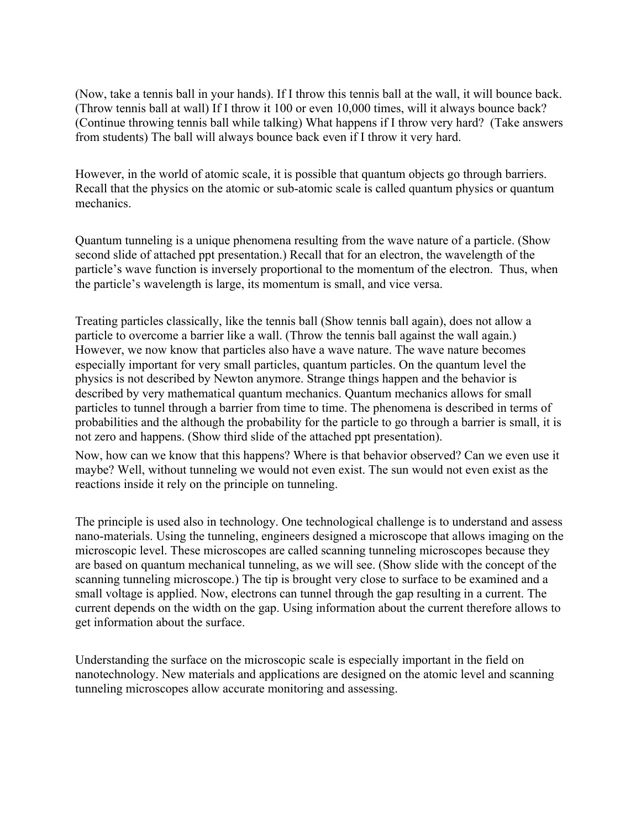(Now, take a tennis ball in your hands). If I throw this tennis ball at the wall, it will bounce back. (Throw tennis ball at wall) If I throw it 100 or even 10,000 times, will it always bounce back? (Continue throwing tennis ball while talking) What happens if I throw very hard? (Take answers from students) The ball will always bounce back even if I throw it very hard.

However, in the world of atomic scale, it is possible that quantum objects go through barriers. Recall that the physics on the atomic or sub-atomic scale is called quantum physics or quantum mechanics.

Quantum tunneling is a unique phenomena resulting from the wave nature of a particle. (Show second slide of attached ppt presentation.) Recall that for an electron, the wavelength of the particle's wave function is inversely proportional to the momentum of the electron. Thus, when the particle's wavelength is large, its momentum is small, and vice versa.

Treating particles classically, like the tennis ball (Show tennis ball again), does not allow a particle to overcome a barrier like a wall. (Throw the tennis ball against the wall again.) However, we now know that particles also have a wave nature. The wave nature becomes especially important for very small particles, quantum particles. On the quantum level the physics is not described by Newton anymore. Strange things happen and the behavior is described by very mathematical quantum mechanics. Quantum mechanics allows for small particles to tunnel through a barrier from time to time. The phenomena is described in terms of probabilities and the although the probability for the particle to go through a barrier is small, it is not zero and happens. (Show third slide of the attached ppt presentation).

Now, how can we know that this happens? Where is that behavior observed? Can we even use it maybe? Well, without tunneling we would not even exist. The sun would not even exist as the reactions inside it rely on the principle on tunneling.

The principle is used also in technology. One technological challenge is to understand and assess nano-materials. Using the tunneling, engineers designed a microscope that allows imaging on the microscopic level. These microscopes are called scanning tunneling microscopes because they are based on quantum mechanical tunneling, as we will see. (Show slide with the concept of the scanning tunneling microscope.) The tip is brought very close to surface to be examined and a small voltage is applied. Now, electrons can tunnel through the gap resulting in a current. The current depends on the width on the gap. Using information about the current therefore allows to get information about the surface.

Understanding the surface on the microscopic scale is especially important in the field on nanotechnology. New materials and applications are designed on the atomic level and scanning tunneling microscopes allow accurate monitoring and assessing.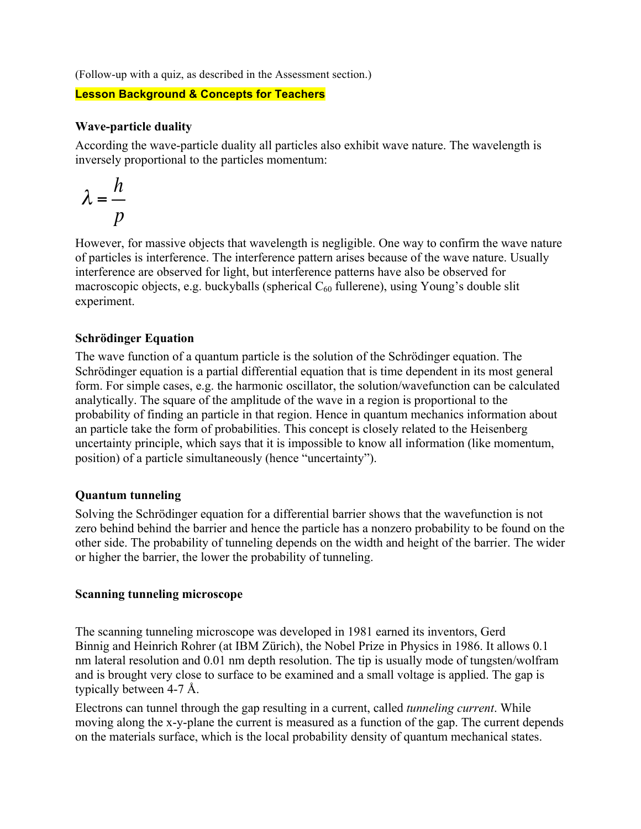(Follow-up with a quiz, as described in the Assessment section.)

#### **Lesson Background & Concepts for Teachers**

#### **Wave-particle duality**

According the wave-particle duality all particles also exhibit wave nature. The wavelength is inversely proportional to the particles momentum:

$$
\lambda = \frac{h}{p}
$$

However, for massive objects that wavelength is negligible. One way to confirm the wave nature of particles is interference. The interference pattern arises because of the wave nature. Usually interference are observed for light, but interference patterns have also be observed for macroscopic objects, e.g. buckyballs (spherical  $C_{60}$  fullerene), using Young's double slit experiment.

#### **Schrödinger Equation**

The wave function of a quantum particle is the solution of the Schrödinger equation. The Schrödinger equation is a partial differential equation that is time dependent in its most general form. For simple cases, e.g. the harmonic oscillator, the solution/wavefunction can be calculated analytically. The square of the amplitude of the wave in a region is proportional to the probability of finding an particle in that region. Hence in quantum mechanics information about an particle take the form of probabilities. This concept is closely related to the Heisenberg uncertainty principle, which says that it is impossible to know all information (like momentum, position) of a particle simultaneously (hence "uncertainty").

#### **Quantum tunneling**

Solving the Schrödinger equation for a differential barrier shows that the wavefunction is not zero behind behind the barrier and hence the particle has a nonzero probability to be found on the other side. The probability of tunneling depends on the width and height of the barrier. The wider or higher the barrier, the lower the probability of tunneling.

#### **Scanning tunneling microscope**

The scanning tunneling microscope was developed in 1981 earned its inventors, Gerd Binnig and Heinrich Rohrer (at IBM Zürich), the Nobel Prize in Physics in 1986. It allows 0.1 nm lateral resolution and 0.01 nm depth resolution. The tip is usually mode of tungsten/wolfram and is brought very close to surface to be examined and a small voltage is applied. The gap is typically between 4-7 Å.

Electrons can tunnel through the gap resulting in a current, called *tunneling current*. While moving along the x-y-plane the current is measured as a function of the gap. The current depends on the materials surface, which is the local probability density of quantum mechanical states.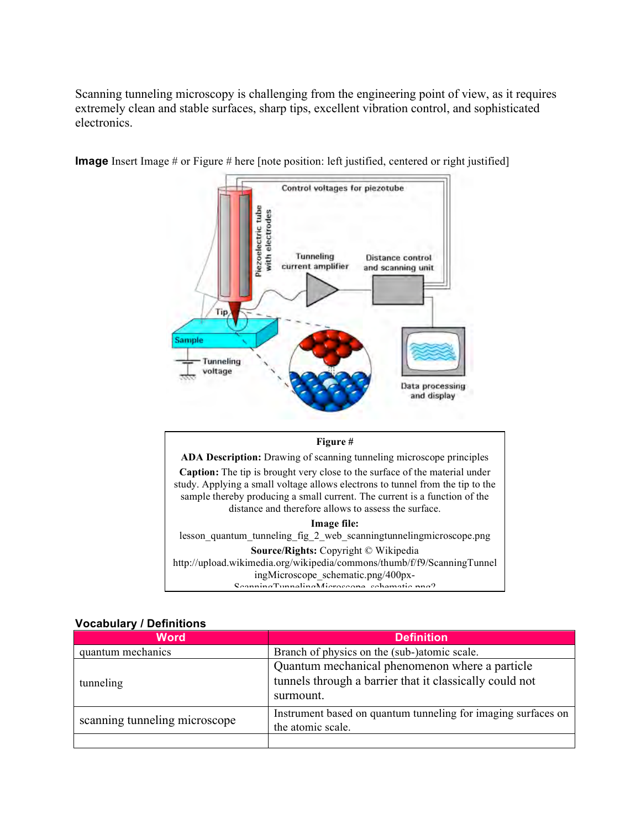Scanning tunneling microscopy is challenging from the engineering point of view, as it requires extremely clean and stable surfaces, sharp tips, excellent vibration control, and sophisticated electronics.



**Image** Insert Image # or Figure # here [note position: left justified, centered or right justified]

#### **Figure #**

**ADA Description:** Drawing of scanning tunneling microscope principles **Caption:** The tip is brought very close to the surface of the material under study. Applying a small voltage allows electrons to tunnel from the tip to the sample thereby producing a small current. The current is a function of the distance and therefore allows to assess the surface.

**Image file:**

lesson\_quantum\_tunneling\_fig\_2\_web\_scanningtunnelingmicroscope.png **Source/Rights:** Copyright © Wikipedia http://upload.wikimedia.org/wikipedia/commons/thumb/f/f9/ScanningTunnel ingMicroscope\_schematic.png/400px-ScanningTunnelingMicroscope\_schematic.png?

#### **Vocabulary / Definitions**

| <b>Word</b>                   | <b>Definition</b>                                                                                                      |
|-------------------------------|------------------------------------------------------------------------------------------------------------------------|
| quantum mechanics             | Branch of physics on the (sub-)atomic scale.                                                                           |
| tunneling                     | Quantum mechanical phenomenon where a particle<br>tunnels through a barrier that it classically could not<br>surmount. |
| scanning tunneling microscope | Instrument based on quantum tunneling for imaging surfaces on<br>the atomic scale.                                     |
|                               |                                                                                                                        |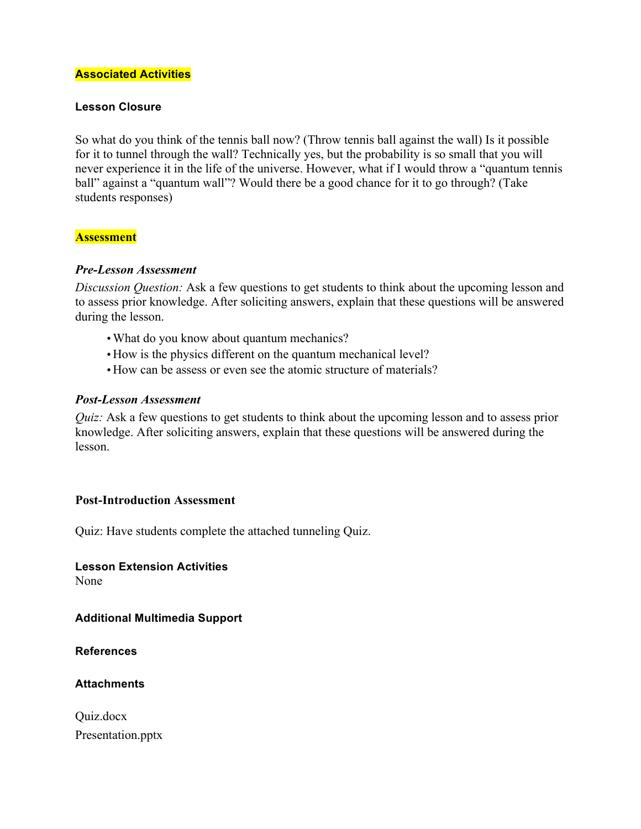#### **Associated Activities**

#### **Lesson Closure**

So what do you think of the tennis ball now? (Throw tennis ball against the wall) Is it possible for it to tunnel through the wall? Technically yes, but the probability is so small that you will never experience it in the life of the universe. However, what if I would throw a "quantum tennis ball" against a "quantum wall"? Would there be a good chance for it to go through? (Take students responses)

#### **Assessment**

#### *Pre-Lesson Assessment*

*Discussion Question:* Ask a few questions to get students to think about the upcoming lesson and to assess prior knowledge. After soliciting answers, explain that these questions will be answered during the lesson.

- •What do you know about quantum mechanics?
- •How is the physics different on the quantum mechanical level?
- •How can be assess or even see the atomic structure of materials?

#### *Post-Lesson Assessment*

*Quiz:* Ask a few questions to get students to think about the upcoming lesson and to assess prior knowledge. After soliciting answers, explain that these questions will be answered during the lesson.

#### **Post-Introduction Assessment**

Quiz: Have students complete the attached tunneling Quiz.

**Lesson Extension Activities** None

**Additional Multimedia Support**

**References**

**Attachments**

Quiz.docx Presentation.pptx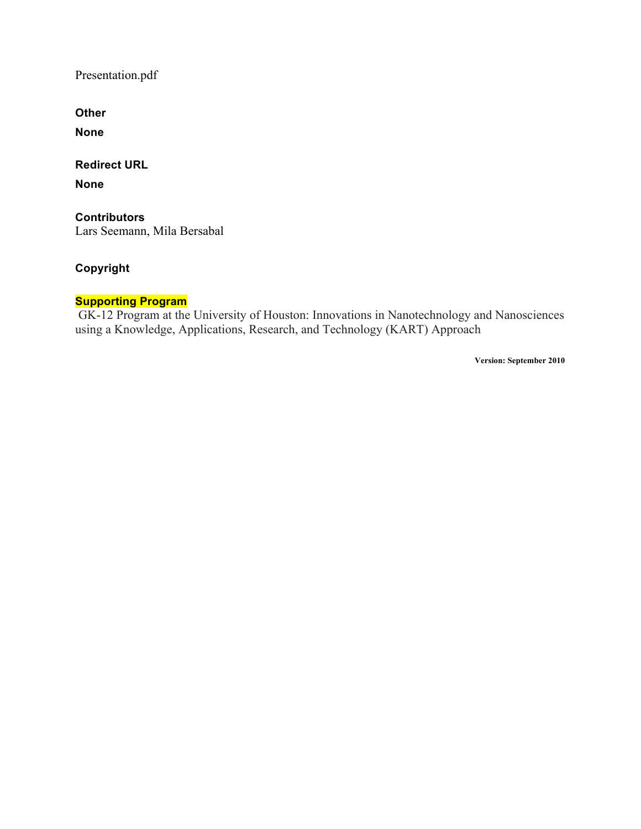Presentation.pdf

**Other**

**None**

**Redirect URL**

**None**

**Contributors** Lars Seemann, Mila Bersabal

#### **Copyright**

#### **Supporting Program**

GK-12 Program at the University of Houston: Innovations in Nanotechnology and Nanosciences using a Knowledge, Applications, Research, and Technology (KART) Approach

**Version: September 2010**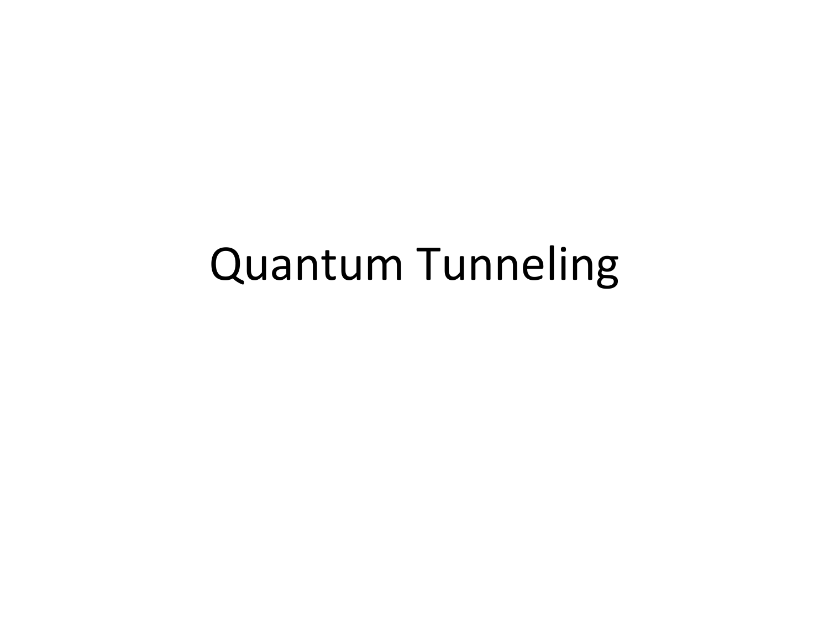# Quantum Tunneling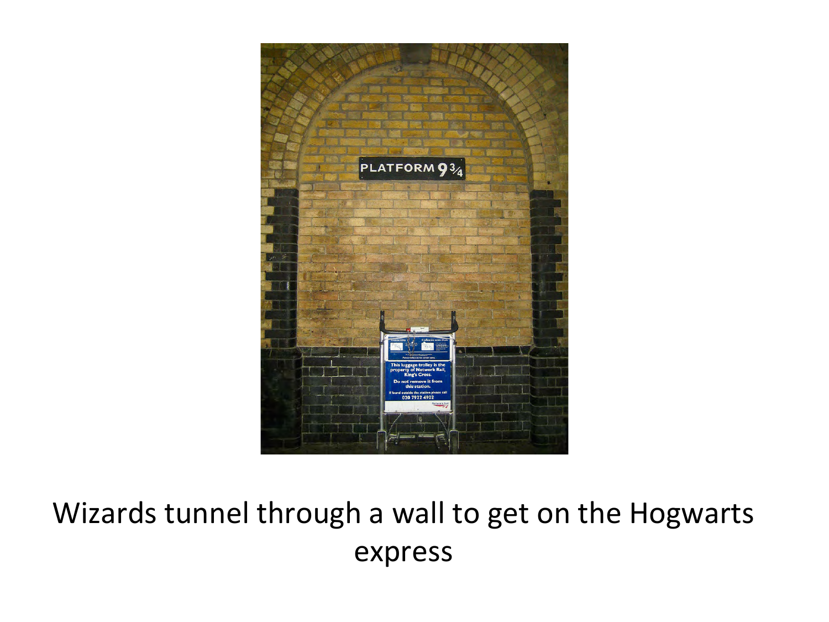

## Wizards tunnel through a wall to get on the Hogwarts express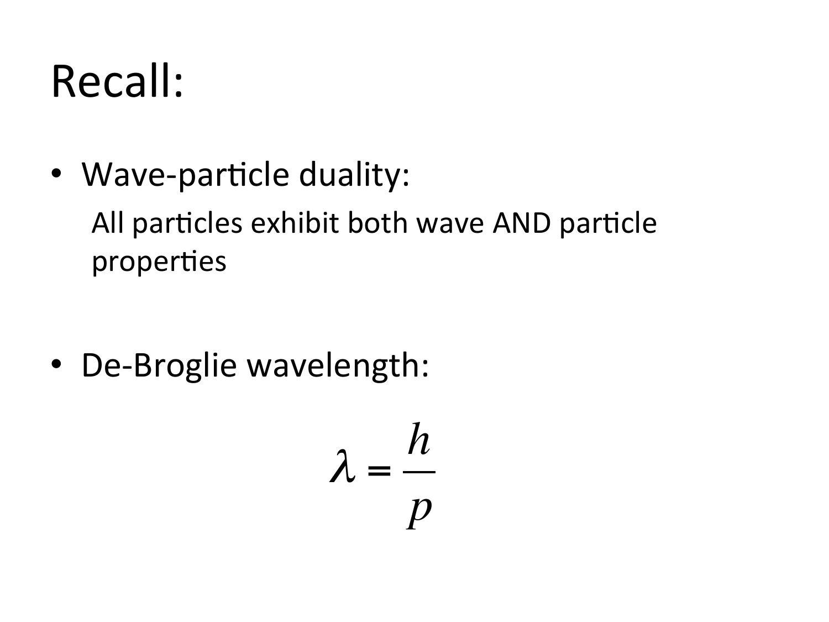# Recall:

• Wave-particle duality: All particles exhibit both wave AND particle properties

• De-Broglie wavelength:

$$
\lambda = \frac{h}{p}
$$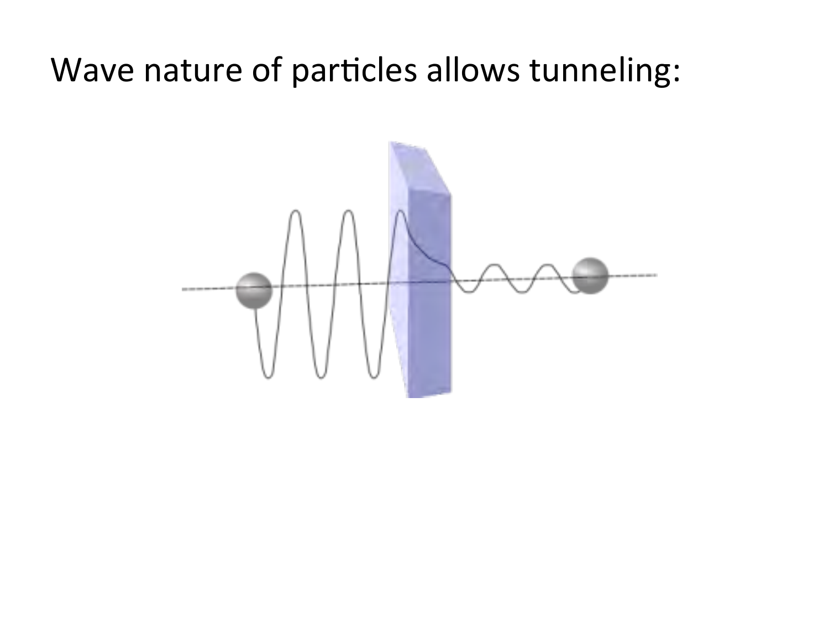## Wave nature of particles allows tunneling:

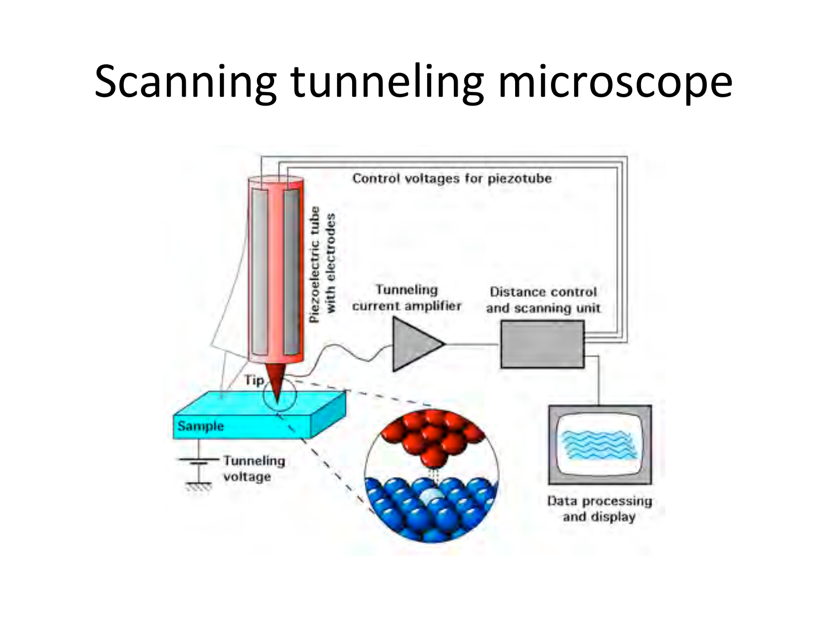# Scanning tunneling microscope

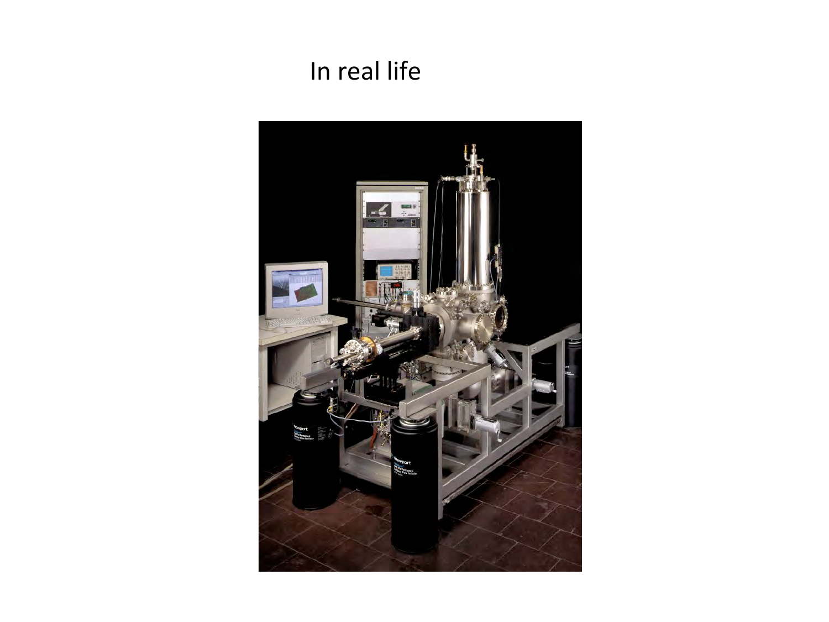### In real life

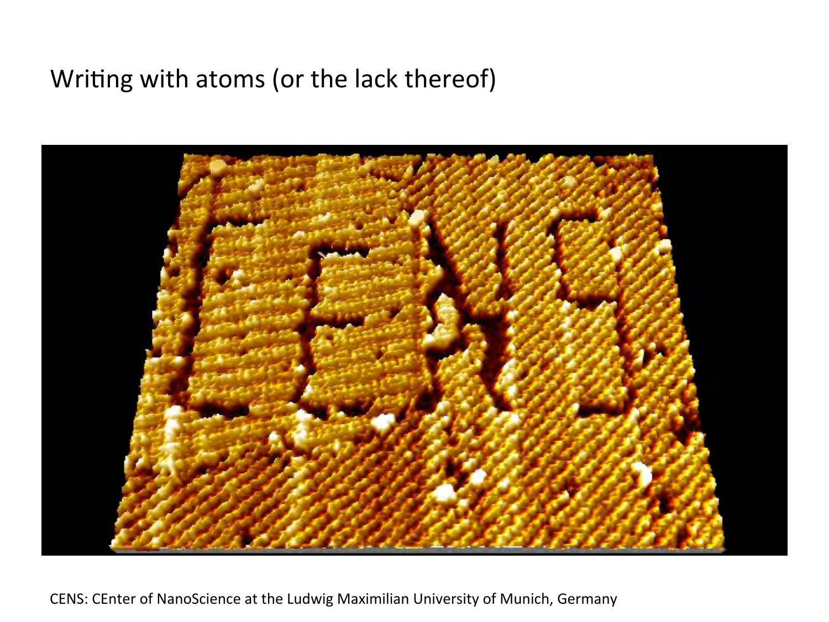### Writing with atoms (or the lack thereof)



CENS: CEnter of NanoScience at the Ludwig Maximilian University of Munich, Germany